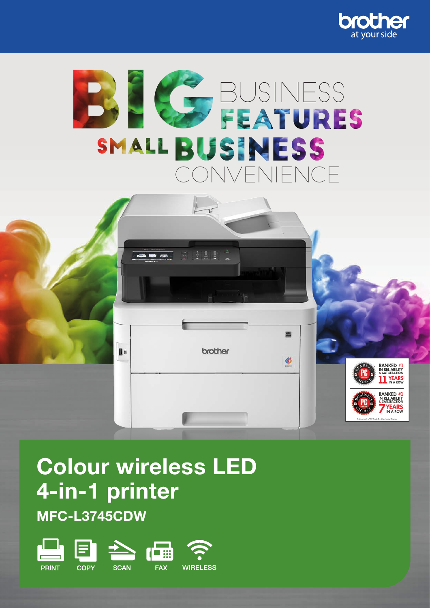





# Colour wireless LED 4-in-1 printer

MFC-L3745CDW

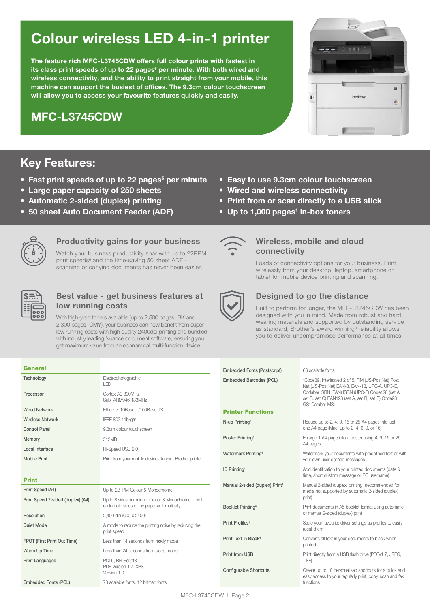# Colour wireless LED 4-in-1 printer

The feature rich MFC-L3745CDW offers full colour prints with fastest in its class print speeds of up to 22 pages $^6$  per minute. With both wired and wireless connectivity, and the ability to print straight from your mobile, this machine can support the busiest of offices. The 9.3cm colour touchscreen will allow you to access your favourite features quickly and easily.

## MFC-L3745CDW

### Key Features:

- Fast print speeds of up to 22 pages<sup>6</sup> per minute
- Large paper capacity of 250 sheets
- Automatic 2-sided (duplex) printing
- 50 sheet Auto Document Feeder (ADF)
- Easy to use 9.3cm colour touchscreen
- Wired and wireless connectivity
- Print from or scan directly to a USB stick
- Up to 1,000 pages<sup>1</sup> in-box toners



#### Productivity gains for your business

Watch your business productivity soar with up to 22PPM print speeds<sup>6</sup> and the time-saving 50 sheet ADF scanning or copying documents has never been easier.



#### Best value - get business features at low running costs

With high-yield toners available (up to 2,500 pages<sup>1</sup> BK and 2,300 pages<sup>1</sup> CMY), your business can now benefit from super low running costs with high quality 2400dpi printing and bundled with industry leading Nuance document software, ensuring you get maximum value from an economical multi-function device.



#### Wireless, mobile and cloud connectivity

Loads of connectivity options for your business. Print wirelessly from your desktop, laptop, smartphone or tablet for mobile device printing and scanning.



#### Designed to go the distance

Built to perform for longer, the MFC-L3745CDW has been designed with you in mind. Made from robust and hard wearing materials and supported by outstanding service as standard, Brother's award winning<sup>9</sup> reliability allows you to deliver uncompromised performance at all times.

| <b>General</b>                    |                                                                                                     | <b>Embedded Fonts (Postscript)</b>         | 66 scalable fonts                                                                                                             |  |
|-----------------------------------|-----------------------------------------------------------------------------------------------------|--------------------------------------------|-------------------------------------------------------------------------------------------------------------------------------|--|
| Technology                        | Electrophotographic<br>LED                                                                          | Embedded Barcodes (PCL)                    | *Code39, Interleaved 2 of 5, FIM (US-PostNet) Post<br>Net (US-PostNet) EAN-8, EAN-13, UPC-A, UPC-E,                           |  |
| Processor                         | Cortex-A9 800MHz<br>Sub: ARM946 133MHz                                                              |                                            | Codabar ISBN (EAN) ISBN (UPC-E) Code128 (set A,<br>set B, set C) EAN128 (set A, set B, set C) Code93<br><b>GS1Databar MSI</b> |  |
| <b>Wired Network</b>              | Ethernet 10Base-T/100Base-TX                                                                        | <b>Printer Functions</b>                   |                                                                                                                               |  |
| <b>Wireless Network</b>           | IEEE 802.11b/g/n                                                                                    | N-up Printing <sup>3</sup>                 | Reduce up to 2, 4, 9, 16 or 25 A4 pages into just                                                                             |  |
| <b>Control Panel</b>              | 9.3cm colour touchscreen                                                                            |                                            | one A4 page (Mac, up to 2, 4, 6, 9, or 16)                                                                                    |  |
| Memory                            | 512MB                                                                                               | Poster Printing <sup>4</sup>               | Enlarge 1 A4 page into a poster using 4, 9, 16 or 25<br>A4 pages                                                              |  |
| Local Interface                   | Hi-Speed USB 2.0                                                                                    | Watermark Printing <sup>4</sup>            | Watermark your documents with predefined text or with                                                                         |  |
| <b>Mobile Print</b>               | Print from your mobile devices to your Brother printer                                              |                                            | your own user-defined messages                                                                                                |  |
|                                   |                                                                                                     | ID Printing <sup>4</sup>                   | Add identification to your printed documents (date &<br>time, short custom message or PC username)                            |  |
| <b>Print</b>                      |                                                                                                     | Manual 2-sided (duplex) Print <sup>4</sup> | Manual 2-sided (duplex) printing (recommended for                                                                             |  |
| Print Speed (A4)                  | Up to 22PPM Colour & Monochrome                                                                     |                                            | media not supported by automatic 2-sided (duplex)<br>print)                                                                   |  |
| Print Speed 2-sided (duplex) (A4) | Up to 8 sides per minute Colour & Monochrome - print<br>on to both sides of the paper automatically | Booklet Printing <sup>4</sup>              | Print documents in A5 booklet format using automatic                                                                          |  |
| Resolution                        | 2,400 dpi (600 x 2400)                                                                              |                                            | or manual 2-sided (duplex) print                                                                                              |  |
| Quiet Mode                        | A mode to reduce the printing noise by reducing the<br>print speed                                  | Print Profiles <sup>3</sup>                | Store your favourite driver settings as profiles to easily<br>recall them                                                     |  |
| FPOT (First Print Out Time)       | Less than 14 seconds from ready mode                                                                | Print Text In Black <sup>4</sup>           | Converts all text in your documents to black when<br>printed                                                                  |  |
| Warm Up Time                      | Less than 24 seconds from sleep mode                                                                | Print from USB                             | Print directly from a USB flash drive (PDFv1.7, JPEG,                                                                         |  |
| <b>Print Languages</b>            | PCL6, BR-Script3                                                                                    |                                            | TIFF)                                                                                                                         |  |
|                                   | PDF Version 1.7. XPS<br>Version 1.0                                                                 | <b>Configurable Shortcuts</b>              | Create up to 18 personalised shortcuts for a quick and<br>easy access to your regularly print, copy, scan and fax             |  |
| Embedded Fonts (PCL)              | 73 scalable fonts, 12 bitmap fonts                                                                  |                                            | functions                                                                                                                     |  |
| $1.1 - 0.1$ $0 = 1 - 0.01$        |                                                                                                     |                                            |                                                                                                                               |  |

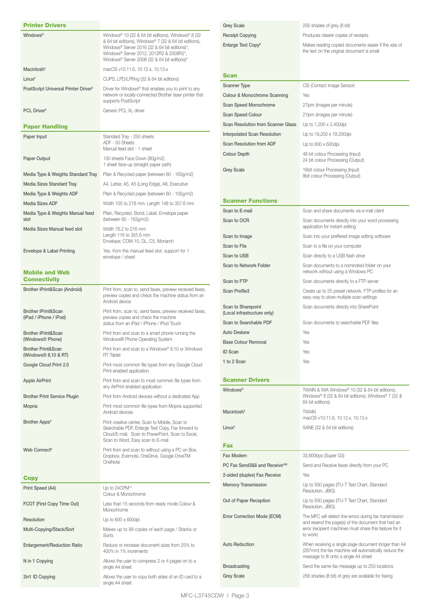| <b>Printer Drivers</b>                              |                                                                                                                                                    | <b>Grey Scale</b>                                 | 256 shades of grey (8 bit)                                                                                                 |
|-----------------------------------------------------|----------------------------------------------------------------------------------------------------------------------------------------------------|---------------------------------------------------|----------------------------------------------------------------------------------------------------------------------------|
| Windows®                                            | Windows <sup>®</sup> 10 (32 & 64 bit editions), Windows <sup>®</sup> 8 (32                                                                         | <b>Receipt Copying</b>                            | Produces clearer copies of receipts                                                                                        |
|                                                     | & 64 bit editions), Windows® 7 (32 & 64 bit editions),<br>Windows® Server 2016 (32 & 64 bit editions)*,<br>Windows® Server 2012, 2012R2 & 2008R2*, | Enlarge Text Copy <sup>8</sup>                    | Makes reading copied documents easier if the size of<br>the text on the original document is small                         |
|                                                     | Windows® Server 2008 (32 & 64 bit editions)*                                                                                                       |                                                   |                                                                                                                            |
| Macintosh <sup>5</sup>                              | macOS v10.11.6, 10.12.x, 10.13.x                                                                                                                   |                                                   |                                                                                                                            |
| Linux <sup>5</sup>                                  | CUPS, LPD/LPRng (32 & 64 bit editions)                                                                                                             | Scan                                              |                                                                                                                            |
| PostScript Universal Printer Driver <sup>5</sup>    | Driver for Windows <sup>®</sup> that enables you to print to any                                                                                   | <b>Scanner Type</b>                               | CIS (Contact Image Sensor)                                                                                                 |
|                                                     | network or locally-connected Brother laser printer that<br>supports PostScript                                                                     | Colour & Monochrome Scanning                      | Yes                                                                                                                        |
| PCL Driver <sup>5</sup>                             | Generic PCL XL driver                                                                                                                              | Scan Speed Monochrome                             | 27ipm (images per minute)                                                                                                  |
|                                                     |                                                                                                                                                    | Scan Speed Colour                                 | 21ipm (images per minute)                                                                                                  |
| <b>Paper Handling</b>                               |                                                                                                                                                    | <b>Scan Resolution from Scanner Glass</b>         | Up to 1,200 x 2,400dpi                                                                                                     |
| Paper Input                                         | Standard Tray - 250 sheets                                                                                                                         | <b>Interpolated Scan Resolution</b>               | Up to 19,200 x 19,200dpi                                                                                                   |
|                                                     | ADF - 50 Sheets<br>Manual feed slot - 1 sheet                                                                                                      | Scan Resolution from ADF                          | Up to 600 x 600dpi                                                                                                         |
| Paper Output                                        | 150 sheets Face Down (80q/m2)                                                                                                                      | <b>Colour Depth</b>                               | 48 bit colour Processing (Input)<br>24 bit colour Processing (Output)                                                      |
|                                                     | 1 sheet face-up (straight paper path)                                                                                                              | <b>Grey Scale</b>                                 | 16bit colour Processing (Input)                                                                                            |
| Media Type & Weights Standard Tray                  | Plain & Recycled paper (between 60 - 163g/m2)                                                                                                      |                                                   | 8bit colour Processing (Output)                                                                                            |
| Media Sizes Standard Tray                           | A4, Letter, A5, A5 (Long Edge), A6, Executive                                                                                                      |                                                   |                                                                                                                            |
| Media Type & Weights ADF                            | Plain & Recycled paper (between 60 - 105g/m2)                                                                                                      | <b>Scanner Functions</b>                          |                                                                                                                            |
| Media Sizes ADF                                     | Width 105 to 218 mm, Length 148 to 357.6 mm                                                                                                        |                                                   |                                                                                                                            |
| Media Type & Weights Manual feed<br>slot            | Plain, Recycled, Bond, Label, Envelope paper<br>(between 60 - 163g/m2)                                                                             | Scan to E-mail                                    | Scan and share documents via e-mail client                                                                                 |
| Media Sizes Manual feed slot                        | Width 76.2 to 216 mm                                                                                                                               | Scan to OCR                                       | Scan documents directly into your word processing<br>application for instant editing                                       |
|                                                     | Length 116 to 355.6 mm<br>Envelope; COM-10, DL, C5, Monarch                                                                                        | Scan to Image                                     | Scan into your preffered image editing software                                                                            |
| Envelope & Label Printing                           |                                                                                                                                                    | Scan to File                                      | Scan to a file on your computer                                                                                            |
|                                                     | Yes, from the manual feed slot: support for 1<br>envelope / sheet                                                                                  | Scan to USB                                       | Scan directly to a USB flash drive                                                                                         |
| <b>Mobile and Web</b>                               |                                                                                                                                                    | Scan to Network Folder                            | Scan documents to a nominated folder on your<br>network without using a Windows PC                                         |
| <b>Connectivity</b>                                 |                                                                                                                                                    | Scan to FTP                                       | Scan documents directly to a FTP server                                                                                    |
| Brother iPrint&Scan (Android)                       | Print from, scan to, send faxes, preview received faxes,<br>preview copies and check the machine status from an                                    | Scan Profile3                                     | Create up to 25 preset network, FTP profiles for an<br>easy way to store multiple scan settings                            |
| Brother iPrint&Scan                                 | Android device<br>Print from, scan to, send faxes, preview received faxes,                                                                         | Scan to Sharepoint<br>(Local infrastructure only) | Scan documents directly into SharePoint                                                                                    |
| (iPad / iPhone / iPod)                              | preview copies and check the machine<br>status from an iPad / iPhone / iPod Touch                                                                  | Scan to Searchable PDF                            | Scan documents to searchable PDF files                                                                                     |
| Brother iPrint&Scan<br>(Windows <sup>®</sup> Phone) | Print from and scan to a smart phone running the<br>Windows® Phone Operating System                                                                | <b>Auto Deskew</b><br><b>Base Colour Removal</b>  | Yes<br>Yes                                                                                                                 |
| <b>Brother Print&amp;Scan</b>                       | Print from and scan to a Windows® 8,10 or Windows                                                                                                  | <b>ID Scan</b>                                    | Yes                                                                                                                        |
| (Windows <sup>®</sup> 8,10 & RT)                    | <b>RT</b> Tablet                                                                                                                                   | 1 to 2 Scan                                       | Yes                                                                                                                        |
| Google Cloud Print 2.0                              | Print most common file types from any Google Cloud<br>Print enabled application                                                                    |                                                   |                                                                                                                            |
| <b>Apple AirPrint</b>                               | Print from and scan to most common file types from<br>any AirPrint enabled application                                                             | <b>Scanner Drivers</b><br>Windows <sup>®</sup>    | TWAIN & WIA Windows® 10 (32 & 64 bit editions),                                                                            |
| <b>Brother Print Service Plugin</b>                 | Print from Android devices without a dedicated App                                                                                                 |                                                   | Windows® 8 (32 & 64 bit editions), Windows® 7 (32 &                                                                        |
| Mopria                                              | Print most common file types from Mopria supported<br>Android devices                                                                              | Macintosh <sup>5</sup>                            | 64 bit editions)<br><b>TWAIN</b>                                                                                           |
| Brother Apps <sup>8</sup>                           | Print creative center, Scan to Mobile, Scan to                                                                                                     |                                                   | macOS v10.11.6, 10.12.x, 10.13.x                                                                                           |
|                                                     | Searchable PDF, Enlarge Text Copy, Fax forward to<br>Cloud/E-mail. Scan to PowerPoint. Scan to Excel.<br>Scan to Word, Easy scan to E-mail         | Linux <sup>5</sup>                                | SANE (32 & 64 bit editions)                                                                                                |
| Web Connect <sup>8</sup>                            | Print from and scan to without using a PC on Box,                                                                                                  | <b>Fax</b>                                        |                                                                                                                            |
|                                                     | Dropbox, Evernote, OneDrive, Google DriveTM                                                                                                        | Fax Modem                                         | 33,600bps (Super G3)                                                                                                       |
|                                                     | OneNote                                                                                                                                            | PC Fax Send3&8 and Receive <sup>4&amp;8</sup>     | Send and Receive faxes directly from your PC                                                                               |
|                                                     |                                                                                                                                                    | 2-sided (duplex) Fax Receive                      | Yes                                                                                                                        |
| <b>Copy</b>                                         | Up to 24CPM <sup>10</sup>                                                                                                                          | <b>Memory Transmission</b>                        | Up to 500 pages (ITU-T Test Chart, Standard                                                                                |
| Print Speed (A4)                                    | Colour & Monochrome                                                                                                                                |                                                   | Resolution, JBIG)                                                                                                          |
| FCOT (First Copy Time Out)                          | Less than 15 seconds from ready mode Colour &<br>Monochrome                                                                                        | Out of Paper Reception                            | Up to 500 pages (ITU-T Test Chart, Standard<br>Resolution, JBIG)                                                           |
| Resolution                                          | Up to 600 x 600dpi                                                                                                                                 | Error Correction Mode (ECM)                       | The MFC will detect line errors during fax transmission                                                                    |
| Multi-Copying/Stack/Sort                            | Makes up to 99 copies of each page / Stacks or<br>Sorts                                                                                            |                                                   | and resend the page(s) of the document that had an<br>error (recipient machines must share this feature for it<br>to work) |
| <b>Enlargement/Reduction Ratio</b>                  | Reduce or increase document sizes from 25% to<br>400% in 1% increments                                                                             | <b>Auto Reduction</b>                             | When receiving a single page document longer than A4<br>(297mm) the fax machine will automatically reduce the              |
| N in 1 Copying                                      | Allows the user to compress 2 or 4 pages on to a                                                                                                   |                                                   | message to fit onto a single A4 sheet                                                                                      |
|                                                     | single A4 sheet                                                                                                                                    | <b>Broadcasting</b><br><b>Grey Scale</b>          | Send the same fax message up to 250 locations<br>256 shades (8 bit) of grey are available for faxing                       |
| 2in1 ID Copying                                     | Allows the user to copy both sides of an ID card to a<br>single A4 sheet                                                                           |                                                   |                                                                                                                            |